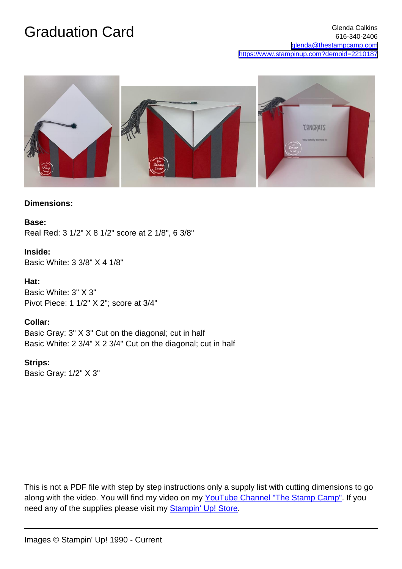

### **Dimensions:**

#### **Base:**

Real Red: 3 1/2" X 8 1/2" score at 2 1/8", 6 3/8"

### **Inside:**

Basic White: 3 3/8" X 4 1/8"

#### **Hat:**

Basic White: 3" X 3" Pivot Piece: 1 1/2" X 2"; score at 3/4"

### **Collar:**

Basic Gray: 3" X 3" Cut on the diagonal; cut in half Basic White: 2 3/4" X 2 3/4" Cut on the diagonal; cut in half

## **Strips:**

Basic Gray: 1/2" X 3"

This is not a PDF file with step by step instructions only a supply list with cutting dimensions to go along with the video. You will find my video on my [YouTube Channel "The Stamp Camp"](https://www.youtube.com/c/thestampcamp). If you need any of the supplies please visit my [Stampin' Up! Store.](https://www.stampinup.com/ecweb/default.aspx?dbwsdemoid=2210187)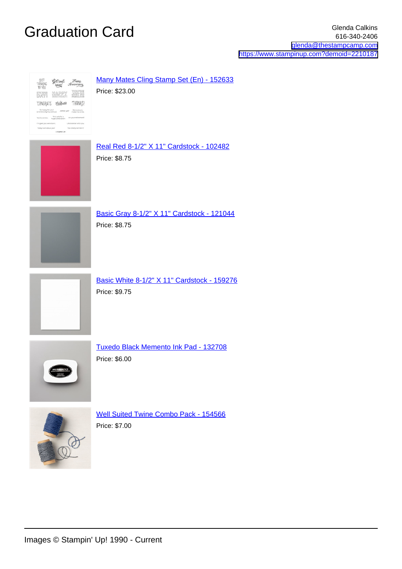